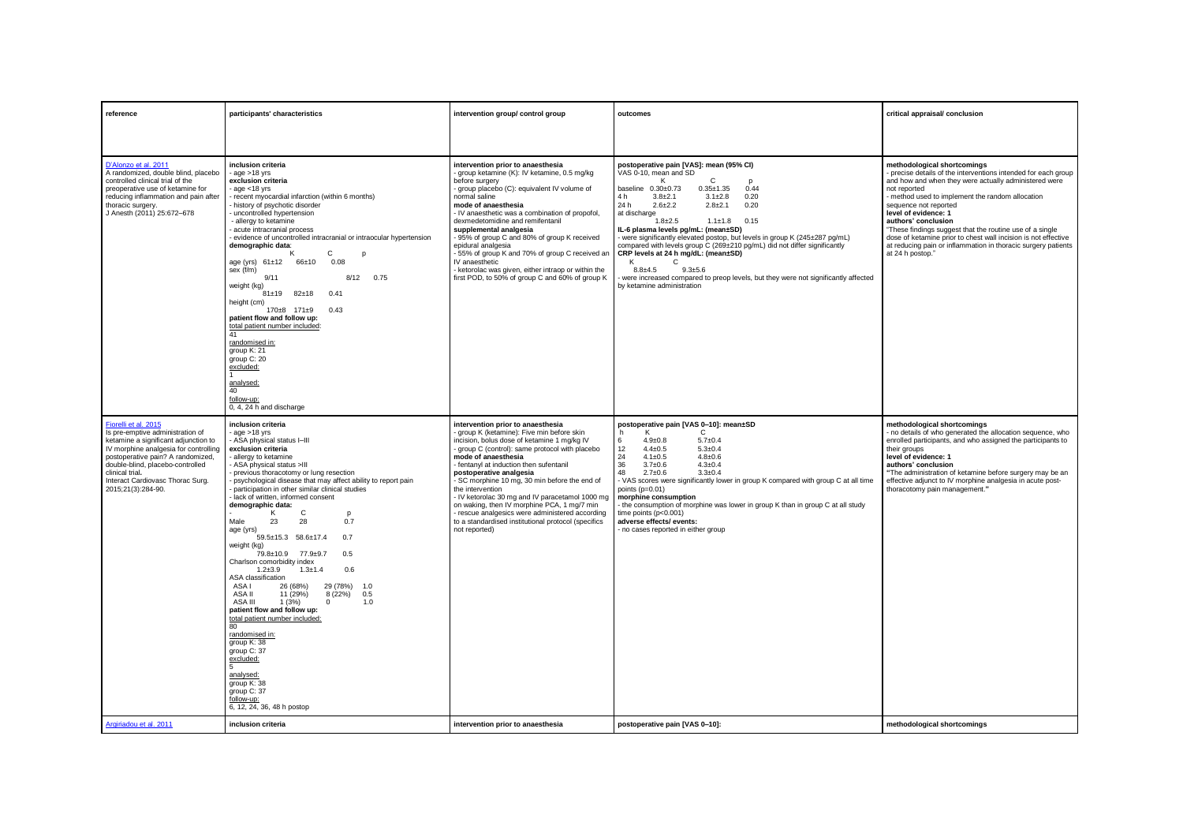| reference                                                                                                                                                                                                                                                                 | participants' characteristics                                                                                                                                                                                                                                                                                                                                                                                                                                                                                                                                                                                                                                                                                                                    | intervention group/ control group                                                                                                                                                                                                                                                                                                                                                                                                                                                                                                                               | outcomes                                                                                                                                                                                                                                                                                                                                                                                                                                                                                                                                                                                                                                                                                | critical appraisal/ conclusion                                                                                                                                                                                                                                                                                                                                                                                                                                                                                        |
|---------------------------------------------------------------------------------------------------------------------------------------------------------------------------------------------------------------------------------------------------------------------------|--------------------------------------------------------------------------------------------------------------------------------------------------------------------------------------------------------------------------------------------------------------------------------------------------------------------------------------------------------------------------------------------------------------------------------------------------------------------------------------------------------------------------------------------------------------------------------------------------------------------------------------------------------------------------------------------------------------------------------------------------|-----------------------------------------------------------------------------------------------------------------------------------------------------------------------------------------------------------------------------------------------------------------------------------------------------------------------------------------------------------------------------------------------------------------------------------------------------------------------------------------------------------------------------------------------------------------|-----------------------------------------------------------------------------------------------------------------------------------------------------------------------------------------------------------------------------------------------------------------------------------------------------------------------------------------------------------------------------------------------------------------------------------------------------------------------------------------------------------------------------------------------------------------------------------------------------------------------------------------------------------------------------------------|-----------------------------------------------------------------------------------------------------------------------------------------------------------------------------------------------------------------------------------------------------------------------------------------------------------------------------------------------------------------------------------------------------------------------------------------------------------------------------------------------------------------------|
|                                                                                                                                                                                                                                                                           |                                                                                                                                                                                                                                                                                                                                                                                                                                                                                                                                                                                                                                                                                                                                                  |                                                                                                                                                                                                                                                                                                                                                                                                                                                                                                                                                                 |                                                                                                                                                                                                                                                                                                                                                                                                                                                                                                                                                                                                                                                                                         |                                                                                                                                                                                                                                                                                                                                                                                                                                                                                                                       |
| D'Alonzo et al. 2011<br>A randomized, double blind, placebo<br>controlled clinical trial of the<br>preoperative use of ketamine for<br>reducing inflammation and pain after<br>thoracic surgery.<br>J Anesth (2011) 25:672-678                                            | inclusion criteria<br>$-$ age $>18$ yrs<br>exclusion criteria<br>$-$ age $<$ 18 yrs<br>- recent myocardial infarction (within 6 months)<br>history of psychotic disorder<br>uncontrolled hypertension<br>- allergy to ketamine<br>acute intracranial process<br>- evidence of uncontrolled intracranial or intraocular hypertension<br>demographic data:<br>C<br>к<br>D<br>age (yrs) 61±12 66±10<br>0.08<br>sex (f/m)<br>9/11<br>8/12<br>0.75<br>weight (kg)<br>$81 \pm 19$ $82 \pm 18$<br>0.41<br>height (cm)<br>$170 \pm 8$ $171 \pm 9$<br>0.43<br>patient flow and follow up:<br>total patient number included:<br>41<br>randomised in:<br>group K: 21<br>group C: 20<br>excluded:<br>analysed:<br>40<br>follow-up:<br>0.4.24 h and discharge | intervention prior to anaesthesia<br>- group ketamine (K): IV ketamine, 0.5 mg/kg<br>before surgery<br>group placebo (C): equivalent IV volume of<br>normal saline<br>mode of anaesthesia<br>- IV anaesthetic was a combination of propofol,<br>dexmedetomidine and remifentanil<br>supplemental analgesia<br>- 95% of group C and 80% of group K received<br>epidural analgesia<br>- 55% of group K and 70% of group C received an<br>IV anaesthetic<br>- ketorolac was given, either intraop or within the<br>first POD, to 50% of group C and 60% of group K | postoperative pain [VAS]: mean (95% CI)<br>VAS 0-10, mean and SD<br>ĸ<br>C<br>$0.35 \pm 1.35$<br>0.44<br>baseline $0.30\pm0.73$<br>4 h<br>$3.1 \pm 2.8$<br>0.20<br>$3.8 + 2.1$<br>24 h<br>$2.6 + 2.2$<br>0.20<br>$2.8 + 2.1$<br>at discharge<br>$1.8 + 2.5$<br>$1.1 \pm 1.8$<br>0.15<br>IL-6 plasma levels pg/mL: (mean±SD)<br>were significantly elevated postop, but levels in group K (245±287 pg/mL)<br>compared with levels group C (269±210 pg/mL) did not differ significantly<br>CRP levels at 24 h mg/dL: (mean±SD)<br>K<br>C<br>$8.8 + 4.5$<br>$9.3 + 5.6$<br>were increased compared to preop levels, but they were not significantly affected<br>by ketamine administration | methodological shortcomings<br>- precise details of the interventions intended for each group<br>and how and when they were actually administered were<br>not reported<br>- method used to implement the random allocation<br>sequence not reported<br>level of evidence: 1<br>authors' conclusion<br>"These findings suggest that the routine use of a single<br>dose of ketamine prior to chest wall incision is not effective<br>at reducing pain or inflammation in thoracic surgery patients<br>at 24 h postop." |
| Fiorelli et al. 2015<br>Is pre-emptive administration of<br>ketamine a significant adjunction to<br>IV morphine analgesia for controlling<br>postoperative pain? A randomized,<br>double-blind, placebo-controlled<br>clinical trial.<br>Interact Cardiovasc Thorac Surg. | inclusion criteria<br>$q$ age $>18$ yrs<br>- ASA physical status I-III<br>exclusion criteria<br>- allergy to ketamine<br>ASA physical status >III<br>- previous thoracotomy or lung resection<br>- psychological disease that may affect ability to report pain                                                                                                                                                                                                                                                                                                                                                                                                                                                                                  | intervention prior to anaesthesia<br>group K (ketamine): Five min before skin<br>incision, bolus dose of ketamine 1 mg/kg IV<br>group C (control): same protocol with placebo<br>mode of anaesthesia<br>- fentanyl at induction then sufentanil<br>postoperative analgesia<br>- SC morphine 10 mg, 30 min before the end of                                                                                                                                                                                                                                     | postoperative pain [VAS 0-10]: mean±SD<br>C<br>K<br>h<br>$5.7 + 0.4$<br>6<br>$4.9 \pm 0.8$<br>12<br>$4.4 \pm 0.5$<br>$5.3 \pm 0.4$<br>24<br>$4.1 \pm 0.5$<br>$4.8 \pm 0.6$<br>36<br>$3.7 + 0.6$<br>$4.3 \pm 0.4$<br>48<br>$2.7 \pm 0.6$<br>$3.3 + 0.4$<br>- VAS scores were significantly lower in group K compared with group C at all time                                                                                                                                                                                                                                                                                                                                            | methodological shortcomings<br>- no details of who generated the allocation sequence, who<br>enrolled participants, and who assigned the participants to<br>their groups<br>level of evidence: 1<br>authors' conclusion<br>"The administration of ketamine before surgery may be an                                                                                                                                                                                                                                   |
| 2015;21(3):284-90.                                                                                                                                                                                                                                                        | participation in other similar clinical studies<br>lack of written, informed consent<br>demographic data:<br>C<br>ĸ<br>p<br>Male<br>23<br>28<br>0.7<br>age (yrs)<br>59.5±15.3 58.6±17.4<br>0.7<br>weight (kg)<br>79.8±10.9 77.9±9.7<br>0.5<br>Charlson comorbidity index<br>$1.2 + 3.9$<br>$1.3 + 1.4$<br>0.6<br>ASA classification<br>26 (68%)<br>29 (78%)<br>ASA I<br>$-1.0$<br>ASA II<br>11 (29%)<br>8(22%)<br>0.5<br>ASA III<br>1(3%)<br>$\Omega$<br>1.0<br>patient flow and follow up:<br>total patient number included:<br>80<br>randomised in:<br>group K: 38<br>group C: 37<br>excluded:<br>analysed:<br>group K: 38<br>group C: 37<br>follow-up:<br>6, 12, 24, 36, 48 h postop                                                          | the intervention<br>- IV ketorolac 30 mg and IV paracetamol 1000 mg<br>on waking, then IV morphine PCA, 1 mg/7 min<br>rescue analgesics were administered according<br>to a standardised institutional protocol (specifics<br>not reported)                                                                                                                                                                                                                                                                                                                     | points (p=0.01)<br>morphine consumption<br>- the consumption of morphine was lower in group K than in group C at all study<br>time points (p<0.001)<br>adverse effects/ events:<br>- no cases reported in either group                                                                                                                                                                                                                                                                                                                                                                                                                                                                  | effective adjunct to IV morphine analgesia in acute post-<br>thoracotomy pain management."                                                                                                                                                                                                                                                                                                                                                                                                                            |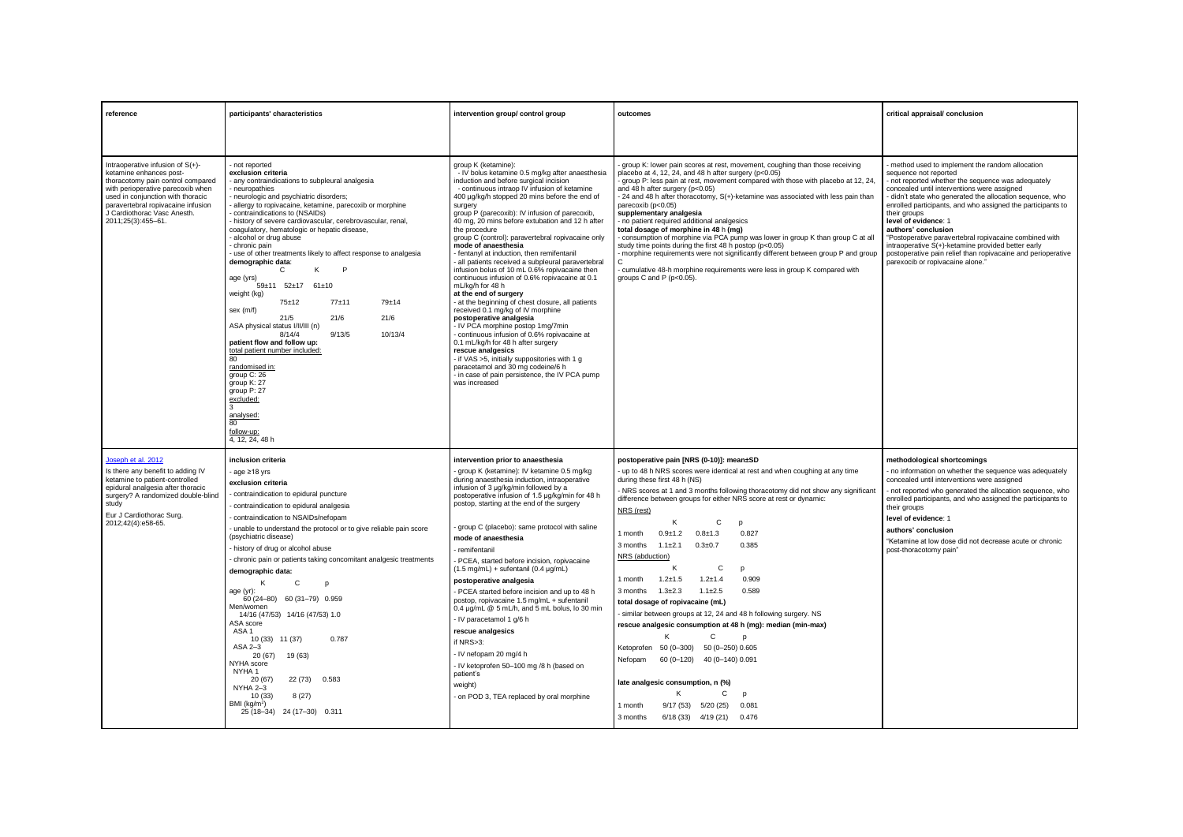| reference                                                                                                                                                                                                                                                             | participants' characteristics                                                                                                                                                                                                                                                                                                                                                                                                                                                                                                                                                                                                                                                                                                                                                                                                                                                                                      | intervention group/ control group                                                                                                                                                                                                                                                                                                                                                                                                                                                                                                                                                                                                                                                                                                                                                                                                                                                                                                                                                                                                                                                                            | outcomes                                                                                                                                                                                                                                                                                                                                                                                                                                                                                                                                                                                                                                                                                                                                                                                                                                | critical appraisal/ conclusion                                                                                                                                                                                                                                                                                                                                                                                                                                                                                                                                                          |
|-----------------------------------------------------------------------------------------------------------------------------------------------------------------------------------------------------------------------------------------------------------------------|--------------------------------------------------------------------------------------------------------------------------------------------------------------------------------------------------------------------------------------------------------------------------------------------------------------------------------------------------------------------------------------------------------------------------------------------------------------------------------------------------------------------------------------------------------------------------------------------------------------------------------------------------------------------------------------------------------------------------------------------------------------------------------------------------------------------------------------------------------------------------------------------------------------------|--------------------------------------------------------------------------------------------------------------------------------------------------------------------------------------------------------------------------------------------------------------------------------------------------------------------------------------------------------------------------------------------------------------------------------------------------------------------------------------------------------------------------------------------------------------------------------------------------------------------------------------------------------------------------------------------------------------------------------------------------------------------------------------------------------------------------------------------------------------------------------------------------------------------------------------------------------------------------------------------------------------------------------------------------------------------------------------------------------------|-----------------------------------------------------------------------------------------------------------------------------------------------------------------------------------------------------------------------------------------------------------------------------------------------------------------------------------------------------------------------------------------------------------------------------------------------------------------------------------------------------------------------------------------------------------------------------------------------------------------------------------------------------------------------------------------------------------------------------------------------------------------------------------------------------------------------------------------|-----------------------------------------------------------------------------------------------------------------------------------------------------------------------------------------------------------------------------------------------------------------------------------------------------------------------------------------------------------------------------------------------------------------------------------------------------------------------------------------------------------------------------------------------------------------------------------------|
|                                                                                                                                                                                                                                                                       |                                                                                                                                                                                                                                                                                                                                                                                                                                                                                                                                                                                                                                                                                                                                                                                                                                                                                                                    |                                                                                                                                                                                                                                                                                                                                                                                                                                                                                                                                                                                                                                                                                                                                                                                                                                                                                                                                                                                                                                                                                                              |                                                                                                                                                                                                                                                                                                                                                                                                                                                                                                                                                                                                                                                                                                                                                                                                                                         |                                                                                                                                                                                                                                                                                                                                                                                                                                                                                                                                                                                         |
| Intraoperative infusion of S(+)-<br>ketamine enhances post-<br>thoracotomy pain control compared<br>with perioperative parecoxib when<br>used in conjunction with thoracic<br>paravertebral ropivacaine infusion<br>J Cardiothorac Vasc Anesth.<br>2011;25(3):455-61. | not reported<br>exclusion criteria<br>any contraindications to subpleural analgesia<br>neuropathies<br>neurologic and psychiatric disorders;<br>allergy to ropivacaine, ketamine, parecoxib or morphine<br>contraindications to (NSAIDs)<br>history of severe cardiovascular, cerebrovascular, renal,<br>coaquiatory, hematologic or hepatic disease,<br>alcohol or drug abuse<br>chronic pain<br>use of other treatments likely to affect response to analgesia<br>demographic data:<br>K<br>P<br>$\mathsf{C}$<br>age (yrs)<br>59±11 52±17 61±10<br>weight (kg)<br>$75 + 12$<br>$77 + 11$<br>79±14<br>sex (m/f)<br>21/6<br>21/6<br>21/5<br>ASA physical status I/II/III (n)<br>8/14/4<br>9/13/5<br>10/13/4<br>patient flow and follow up:<br>total patient number included:<br>80<br>randomised in:<br>group C: 26<br>group K: 27<br>aroup P: 27<br>excluded:<br>analysed:<br>80<br>follow-up:<br>4, 12, 24, 48 h | group K (ketamine):<br>- IV bolus ketamine 0.5 mg/kg after anaesthesia<br>induction and before surgical incision<br>- continuous intraop IV infusion of ketamine<br>400 µg/kg/h stopped 20 mins before the end of<br>surgery<br>group P (parecoxib): IV infusion of parecoxib,<br>40 mg, 20 mins before extubation and 12 h after<br>the procedure<br>group C (control); paravertebral ropivacaine only<br>mode of anaesthesia<br>- fentanyl at induction, then remifentanil<br>all patients received a subpleural paravertebral<br>infusion bolus of 10 mL 0.6% ropivacaine then<br>continuous infusion of 0.6% ropivacaine at 0.1<br>mL/ka/h for 48 h<br>at the end of surgery<br>- at the beginning of chest closure, all patients<br>received 0.1 mg/kg of IV morphine<br>postoperative analgesia<br>- IV PCA morphine postop 1mg/7min<br>continuous infusion of 0.6% ropivacaine at<br>0.1 mL/kg/h for 48 h after surgery<br>rescue analgesics<br>- if VAS >5, initially suppositories with 1 g<br>paracetamol and 30 mg codeine/6 h<br>- in case of pain persistence, the IV PCA pump<br>was increased | group K: lower pain scores at rest, movement, coughing than those receiving<br>placebo at 4, 12, 24, and 48 h after surgery (p<0.05)<br>- group P: less pain at rest, movement compared with those with placebo at 12, 24.<br>and 48 h after surgery (p<0.05)<br>- 24 and 48 h after thoracotomy, S(+)-ketamine was associated with less pain than<br>parecoxib (p<0.05)<br>supplementary analgesia<br>- no patient required additional analgesics<br>total dosage of morphine in 48 h (mg)<br>consumption of morphine via PCA pump was lower in group K than group C at all<br>study time points during the first 48 h postop (p<0.05)<br>- morphine requirements were not significantly different between group P and group<br>- cumulative 48-h morphine requirements were less in group K compared with<br>groups C and P (p<0.05). | method used to implement the random allocation<br>sequence not reported<br>not reported whether the sequence was adequately<br>concealed until interventions were assigned<br>didn't state who generated the allocation sequence, who<br>enrolled participants, and who assigned the participants to<br>their groups<br>level of evidence: 1<br>authors' conclusion<br>"Postoperative paravertebral ropivacaine combined with<br>intraoperative S(+)-ketamine provided better early<br>postoperative pain relief than ropivacaine and perioperative<br>parexocib or ropivacaine alone." |
| Joseph et al. 2012                                                                                                                                                                                                                                                    | inclusion criteria                                                                                                                                                                                                                                                                                                                                                                                                                                                                                                                                                                                                                                                                                                                                                                                                                                                                                                 | intervention prior to anaesthesia                                                                                                                                                                                                                                                                                                                                                                                                                                                                                                                                                                                                                                                                                                                                                                                                                                                                                                                                                                                                                                                                            | postoperative pain [NRS (0-10)]: mean±SD                                                                                                                                                                                                                                                                                                                                                                                                                                                                                                                                                                                                                                                                                                                                                                                                | methodological shortcomings                                                                                                                                                                                                                                                                                                                                                                                                                                                                                                                                                             |
| Is there any benefit to adding IV<br>ketamine to patient-controlled                                                                                                                                                                                                   | age ≥18 yrs<br>exclusion criteria                                                                                                                                                                                                                                                                                                                                                                                                                                                                                                                                                                                                                                                                                                                                                                                                                                                                                  | group K (ketamine): IV ketamine 0.5 mg/kg<br>during anaesthesia induction, intraoperative                                                                                                                                                                                                                                                                                                                                                                                                                                                                                                                                                                                                                                                                                                                                                                                                                                                                                                                                                                                                                    | - up to 48 h NRS scores were identical at rest and when coughing at any time<br>during these first 48 h (NS)                                                                                                                                                                                                                                                                                                                                                                                                                                                                                                                                                                                                                                                                                                                            | no information on whether the sequence was adequately<br>concealed until interventions were assigned                                                                                                                                                                                                                                                                                                                                                                                                                                                                                    |
| epidural analgesia after thoracic<br>surgery? A randomized double-blind                                                                                                                                                                                               | contraindication to epidural puncture                                                                                                                                                                                                                                                                                                                                                                                                                                                                                                                                                                                                                                                                                                                                                                                                                                                                              | infusion of 3 µg/kg/min followed by a<br>postoperative infusion of 1.5 ug/kg/min for 48 h                                                                                                                                                                                                                                                                                                                                                                                                                                                                                                                                                                                                                                                                                                                                                                                                                                                                                                                                                                                                                    | NRS scores at 1 and 3 months following thoracotomy did not show any significant<br>difference between groups for either NRS score at rest or dynamic:                                                                                                                                                                                                                                                                                                                                                                                                                                                                                                                                                                                                                                                                                   | not reported who generated the allocation sequence, who<br>enrolled participants, and who assigned the participants to                                                                                                                                                                                                                                                                                                                                                                                                                                                                  |
| study<br>Eur J Cardiothorac Surg.                                                                                                                                                                                                                                     | contraindication to epidural analgesia                                                                                                                                                                                                                                                                                                                                                                                                                                                                                                                                                                                                                                                                                                                                                                                                                                                                             | postop, starting at the end of the surgery                                                                                                                                                                                                                                                                                                                                                                                                                                                                                                                                                                                                                                                                                                                                                                                                                                                                                                                                                                                                                                                                   | NRS (rest)                                                                                                                                                                                                                                                                                                                                                                                                                                                                                                                                                                                                                                                                                                                                                                                                                              | their groups                                                                                                                                                                                                                                                                                                                                                                                                                                                                                                                                                                            |
| 2012;42(4):e58-65.                                                                                                                                                                                                                                                    | contraindication to NSAIDs/nefopam<br>unable to understand the protocol or to give reliable pain score                                                                                                                                                                                                                                                                                                                                                                                                                                                                                                                                                                                                                                                                                                                                                                                                             | group C (placebo): same protocol with saline                                                                                                                                                                                                                                                                                                                                                                                                                                                                                                                                                                                                                                                                                                                                                                                                                                                                                                                                                                                                                                                                 | K<br>C<br>p                                                                                                                                                                                                                                                                                                                                                                                                                                                                                                                                                                                                                                                                                                                                                                                                                             | level of evidence: 1<br>authors' conclusion                                                                                                                                                                                                                                                                                                                                                                                                                                                                                                                                             |
|                                                                                                                                                                                                                                                                       | (psychiatric disease)                                                                                                                                                                                                                                                                                                                                                                                                                                                                                                                                                                                                                                                                                                                                                                                                                                                                                              | mode of anaesthesia                                                                                                                                                                                                                                                                                                                                                                                                                                                                                                                                                                                                                                                                                                                                                                                                                                                                                                                                                                                                                                                                                          | 1 month<br>$0.9 + 1.2$<br>$0.8 + 1.3$<br>0.827                                                                                                                                                                                                                                                                                                                                                                                                                                                                                                                                                                                                                                                                                                                                                                                          | "Ketamine at low dose did not decrease acute or chronic                                                                                                                                                                                                                                                                                                                                                                                                                                                                                                                                 |
|                                                                                                                                                                                                                                                                       | history of drug or alcohol abuse                                                                                                                                                                                                                                                                                                                                                                                                                                                                                                                                                                                                                                                                                                                                                                                                                                                                                   | remifentanil                                                                                                                                                                                                                                                                                                                                                                                                                                                                                                                                                                                                                                                                                                                                                                                                                                                                                                                                                                                                                                                                                                 | 0.385<br>3 months<br>$1.1 \pm 2.1$<br>$0.3 + 0.7$                                                                                                                                                                                                                                                                                                                                                                                                                                                                                                                                                                                                                                                                                                                                                                                       | post-thoracotomy pain"                                                                                                                                                                                                                                                                                                                                                                                                                                                                                                                                                                  |
|                                                                                                                                                                                                                                                                       | chronic pain or patients taking concomitant analgesic treatments                                                                                                                                                                                                                                                                                                                                                                                                                                                                                                                                                                                                                                                                                                                                                                                                                                                   | PCEA, started before incision, ropivacaine                                                                                                                                                                                                                                                                                                                                                                                                                                                                                                                                                                                                                                                                                                                                                                                                                                                                                                                                                                                                                                                                   | NRS (abduction)<br>Κ<br>C<br>D                                                                                                                                                                                                                                                                                                                                                                                                                                                                                                                                                                                                                                                                                                                                                                                                          |                                                                                                                                                                                                                                                                                                                                                                                                                                                                                                                                                                                         |
|                                                                                                                                                                                                                                                                       | demographic data:                                                                                                                                                                                                                                                                                                                                                                                                                                                                                                                                                                                                                                                                                                                                                                                                                                                                                                  | (1.5 mg/mL) + sufentanil (0.4 µg/mL)<br>postoperative analgesia                                                                                                                                                                                                                                                                                                                                                                                                                                                                                                                                                                                                                                                                                                                                                                                                                                                                                                                                                                                                                                              | $1.2 + 1.5$<br>$1.2 + 1.4$<br>0.909<br>1 month                                                                                                                                                                                                                                                                                                                                                                                                                                                                                                                                                                                                                                                                                                                                                                                          |                                                                                                                                                                                                                                                                                                                                                                                                                                                                                                                                                                                         |
|                                                                                                                                                                                                                                                                       | С<br>Κ<br>p<br>age (yr):                                                                                                                                                                                                                                                                                                                                                                                                                                                                                                                                                                                                                                                                                                                                                                                                                                                                                           | PCEA started before incision and up to 48 h                                                                                                                                                                                                                                                                                                                                                                                                                                                                                                                                                                                                                                                                                                                                                                                                                                                                                                                                                                                                                                                                  | 3 months 1.3±2.3<br>$1.1 \pm 2.5$<br>0.589                                                                                                                                                                                                                                                                                                                                                                                                                                                                                                                                                                                                                                                                                                                                                                                              |                                                                                                                                                                                                                                                                                                                                                                                                                                                                                                                                                                                         |
|                                                                                                                                                                                                                                                                       | 60 (24-80) 60 (31-79) 0.959<br>Men/women                                                                                                                                                                                                                                                                                                                                                                                                                                                                                                                                                                                                                                                                                                                                                                                                                                                                           | postop, ropivacaine 1.5 mg/mL + sufentanil                                                                                                                                                                                                                                                                                                                                                                                                                                                                                                                                                                                                                                                                                                                                                                                                                                                                                                                                                                                                                                                                   | total dosage of ropivacaine (mL)                                                                                                                                                                                                                                                                                                                                                                                                                                                                                                                                                                                                                                                                                                                                                                                                        |                                                                                                                                                                                                                                                                                                                                                                                                                                                                                                                                                                                         |
|                                                                                                                                                                                                                                                                       | 14/16 (47/53) 14/16 (47/53) 1.0                                                                                                                                                                                                                                                                                                                                                                                                                                                                                                                                                                                                                                                                                                                                                                                                                                                                                    | $0.4 \mu q/mL \otimes 5$ mL/h, and $5$ mL bolus, lo 30 min<br>- IV paracetamol 1 g/6 h                                                                                                                                                                                                                                                                                                                                                                                                                                                                                                                                                                                                                                                                                                                                                                                                                                                                                                                                                                                                                       | - similar between groups at 12, 24 and 48 h following surgery. NS                                                                                                                                                                                                                                                                                                                                                                                                                                                                                                                                                                                                                                                                                                                                                                       |                                                                                                                                                                                                                                                                                                                                                                                                                                                                                                                                                                                         |
|                                                                                                                                                                                                                                                                       | ASA score<br>ASA <sub>1</sub>                                                                                                                                                                                                                                                                                                                                                                                                                                                                                                                                                                                                                                                                                                                                                                                                                                                                                      | rescue analgesics                                                                                                                                                                                                                                                                                                                                                                                                                                                                                                                                                                                                                                                                                                                                                                                                                                                                                                                                                                                                                                                                                            | rescue analgesic consumption at 48 h (mg): median (min-max)                                                                                                                                                                                                                                                                                                                                                                                                                                                                                                                                                                                                                                                                                                                                                                             |                                                                                                                                                                                                                                                                                                                                                                                                                                                                                                                                                                                         |
|                                                                                                                                                                                                                                                                       | 10 (33) 11 (37)<br>0.787                                                                                                                                                                                                                                                                                                                                                                                                                                                                                                                                                                                                                                                                                                                                                                                                                                                                                           | if NRS>3:                                                                                                                                                                                                                                                                                                                                                                                                                                                                                                                                                                                                                                                                                                                                                                                                                                                                                                                                                                                                                                                                                                    | K<br>C<br>D                                                                                                                                                                                                                                                                                                                                                                                                                                                                                                                                                                                                                                                                                                                                                                                                                             |                                                                                                                                                                                                                                                                                                                                                                                                                                                                                                                                                                                         |
|                                                                                                                                                                                                                                                                       | ASA 2-3<br>20 (67)<br>19 (63)                                                                                                                                                                                                                                                                                                                                                                                                                                                                                                                                                                                                                                                                                                                                                                                                                                                                                      | - IV nefopam 20 mg/4 h                                                                                                                                                                                                                                                                                                                                                                                                                                                                                                                                                                                                                                                                                                                                                                                                                                                                                                                                                                                                                                                                                       | Ketoprofen 50 (0-300) 50 (0-250) 0.605                                                                                                                                                                                                                                                                                                                                                                                                                                                                                                                                                                                                                                                                                                                                                                                                  |                                                                                                                                                                                                                                                                                                                                                                                                                                                                                                                                                                                         |
|                                                                                                                                                                                                                                                                       | NYHA score<br>NYHA <sub>1</sub>                                                                                                                                                                                                                                                                                                                                                                                                                                                                                                                                                                                                                                                                                                                                                                                                                                                                                    | - IV ketoprofen 50-100 mg /8 h (based on                                                                                                                                                                                                                                                                                                                                                                                                                                                                                                                                                                                                                                                                                                                                                                                                                                                                                                                                                                                                                                                                     | Nefopam<br>60 (0-120) 40 (0-140) 0.091                                                                                                                                                                                                                                                                                                                                                                                                                                                                                                                                                                                                                                                                                                                                                                                                  |                                                                                                                                                                                                                                                                                                                                                                                                                                                                                                                                                                                         |
|                                                                                                                                                                                                                                                                       | 20 (67)<br>22 (73)<br>0.583                                                                                                                                                                                                                                                                                                                                                                                                                                                                                                                                                                                                                                                                                                                                                                                                                                                                                        | patient's                                                                                                                                                                                                                                                                                                                                                                                                                                                                                                                                                                                                                                                                                                                                                                                                                                                                                                                                                                                                                                                                                                    | late analgesic consumption, n (%)                                                                                                                                                                                                                                                                                                                                                                                                                                                                                                                                                                                                                                                                                                                                                                                                       |                                                                                                                                                                                                                                                                                                                                                                                                                                                                                                                                                                                         |
|                                                                                                                                                                                                                                                                       | NYHA 2-3<br>10(33)<br>8(27)                                                                                                                                                                                                                                                                                                                                                                                                                                                                                                                                                                                                                                                                                                                                                                                                                                                                                        | weight)<br>on POD 3, TEA replaced by oral morphine                                                                                                                                                                                                                                                                                                                                                                                                                                                                                                                                                                                                                                                                                                                                                                                                                                                                                                                                                                                                                                                           | ĸ<br>С<br>p                                                                                                                                                                                                                                                                                                                                                                                                                                                                                                                                                                                                                                                                                                                                                                                                                             |                                                                                                                                                                                                                                                                                                                                                                                                                                                                                                                                                                                         |
|                                                                                                                                                                                                                                                                       | BMI (kg/m <sup>2</sup> )                                                                                                                                                                                                                                                                                                                                                                                                                                                                                                                                                                                                                                                                                                                                                                                                                                                                                           |                                                                                                                                                                                                                                                                                                                                                                                                                                                                                                                                                                                                                                                                                                                                                                                                                                                                                                                                                                                                                                                                                                              | $9/17(53)$ $5/20(25)$<br>1 month<br>0.081                                                                                                                                                                                                                                                                                                                                                                                                                                                                                                                                                                                                                                                                                                                                                                                               |                                                                                                                                                                                                                                                                                                                                                                                                                                                                                                                                                                                         |
|                                                                                                                                                                                                                                                                       | 25 (18-34) 24 (17-30) 0.311                                                                                                                                                                                                                                                                                                                                                                                                                                                                                                                                                                                                                                                                                                                                                                                                                                                                                        |                                                                                                                                                                                                                                                                                                                                                                                                                                                                                                                                                                                                                                                                                                                                                                                                                                                                                                                                                                                                                                                                                                              | 3 months<br>6/18 (33) 4/19 (21) 0.476                                                                                                                                                                                                                                                                                                                                                                                                                                                                                                                                                                                                                                                                                                                                                                                                   |                                                                                                                                                                                                                                                                                                                                                                                                                                                                                                                                                                                         |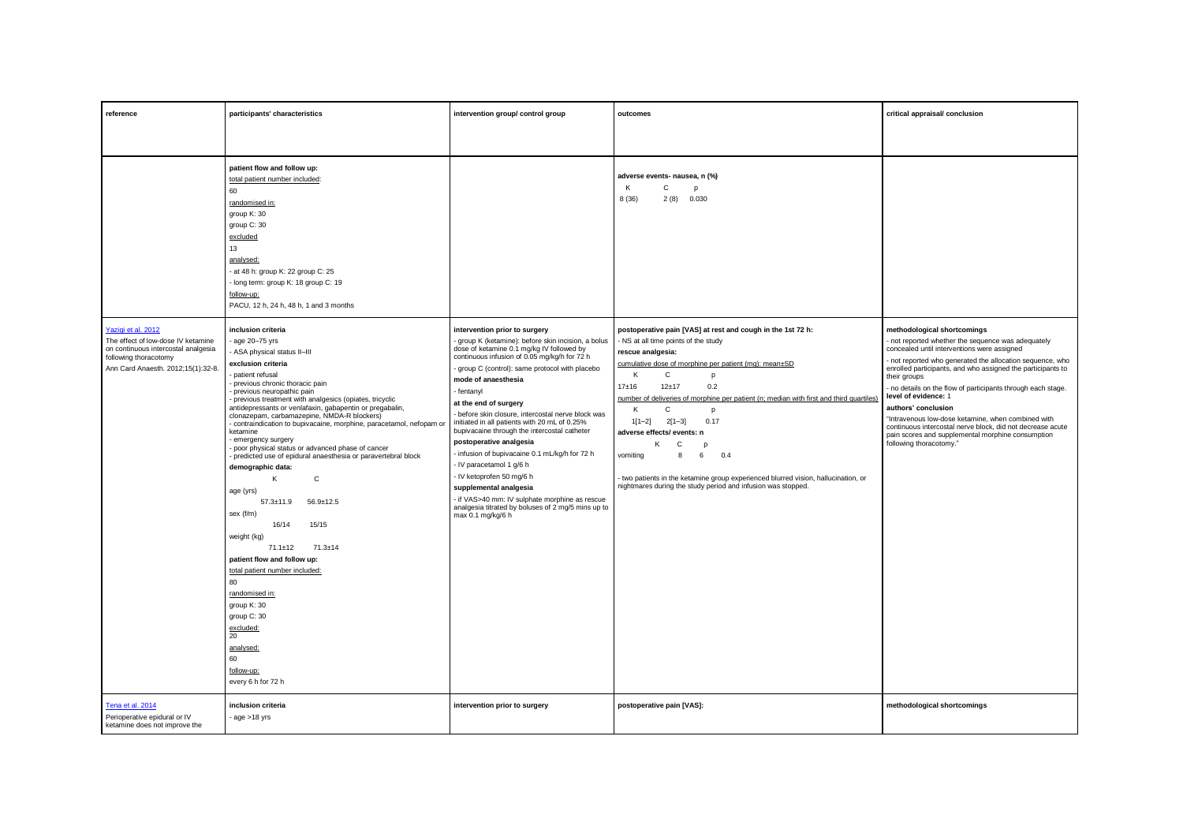| reference                                                                                                                                                      | participants' characteristics                                                                                                                                                                                                                                                                                                                                                                                                                                                                                                                                                                                                                                                                                                                                                                                                                                                                                                                  | intervention group/ control group                                                                                                                                                                                                                                                                                                                                                                                                                                                                                                                                                                                                                                                                                                                      | outcomes                                                                                                                                                                                                                                                                                                                                                                                                                                                                                                                                                                                                         | critical appraisal/ conclusion                                                                                                                                                                                                                                                                                                                                                                                                                                                                                                                                                                |
|----------------------------------------------------------------------------------------------------------------------------------------------------------------|------------------------------------------------------------------------------------------------------------------------------------------------------------------------------------------------------------------------------------------------------------------------------------------------------------------------------------------------------------------------------------------------------------------------------------------------------------------------------------------------------------------------------------------------------------------------------------------------------------------------------------------------------------------------------------------------------------------------------------------------------------------------------------------------------------------------------------------------------------------------------------------------------------------------------------------------|--------------------------------------------------------------------------------------------------------------------------------------------------------------------------------------------------------------------------------------------------------------------------------------------------------------------------------------------------------------------------------------------------------------------------------------------------------------------------------------------------------------------------------------------------------------------------------------------------------------------------------------------------------------------------------------------------------------------------------------------------------|------------------------------------------------------------------------------------------------------------------------------------------------------------------------------------------------------------------------------------------------------------------------------------------------------------------------------------------------------------------------------------------------------------------------------------------------------------------------------------------------------------------------------------------------------------------------------------------------------------------|-----------------------------------------------------------------------------------------------------------------------------------------------------------------------------------------------------------------------------------------------------------------------------------------------------------------------------------------------------------------------------------------------------------------------------------------------------------------------------------------------------------------------------------------------------------------------------------------------|
|                                                                                                                                                                |                                                                                                                                                                                                                                                                                                                                                                                                                                                                                                                                                                                                                                                                                                                                                                                                                                                                                                                                                |                                                                                                                                                                                                                                                                                                                                                                                                                                                                                                                                                                                                                                                                                                                                                        |                                                                                                                                                                                                                                                                                                                                                                                                                                                                                                                                                                                                                  |                                                                                                                                                                                                                                                                                                                                                                                                                                                                                                                                                                                               |
|                                                                                                                                                                | patient flow and follow up:<br>total patient number included:<br>60<br>randomised in:<br>group K: 30<br>group C: 30<br>excluded<br>13<br>analysed:<br>- at 48 h: group K: 22 group C: 25<br>- long term: group K: 18 group C: 19<br>follow-up:<br>PACU, 12 h, 24 h, 48 h, 1 and 3 months                                                                                                                                                                                                                                                                                                                                                                                                                                                                                                                                                                                                                                                       |                                                                                                                                                                                                                                                                                                                                                                                                                                                                                                                                                                                                                                                                                                                                                        | adverse events- nausea, n (%)<br>K<br>С<br>p<br>8(36)<br>2(8)<br>0.030                                                                                                                                                                                                                                                                                                                                                                                                                                                                                                                                           |                                                                                                                                                                                                                                                                                                                                                                                                                                                                                                                                                                                               |
| Yazigi et al. 2012<br>The effect of low-dose IV ketamine<br>on continuous intercostal analgesia<br>following thoracotomy<br>Ann Card Anaesth. 2012;15(1):32-8. | inclusion criteria<br>age 20-75 yrs<br>- ASA physical status II-III<br>exclusion criteria<br>patient refusal<br>previous chronic thoracic pain<br>previous neuropathic pain<br>previous treatment with analgesics (opiates, tricyclic<br>antidepressants or venlafaxin, gabapentin or pregabalin,<br>clonazepam, carbamazepine, NMDA-R blockers)<br>contraindication to bupivacaine, morphine, paracetamol, nefopam or<br>ketamine<br>emergency surgery<br>poor physical status or advanced phase of cancer<br>predicted use of epidural anaesthesia or paravertebral block<br>demographic data:<br>Κ<br>C<br>age (yrs)<br>$57.3 \pm 11.9$<br>$56.9 \pm 12.5$<br>sex (f/m)<br>16/14<br>15/15<br>weight (kg)<br>$71.3 \pm 14$<br>$71.1 \pm 12$<br>patient flow and follow up:<br>total patient number included:<br>80<br>randomised in:<br>group K: 30<br>group C: 30<br>excluded:<br>20<br>analysed:<br>60<br>follow-up:<br>every 6 h for 72 h | intervention prior to surgery<br>- group K (ketamine): before skin incision, a bolus<br>dose of ketamine 0.1 mg/kg IV followed by<br>continuous infusion of 0.05 mg/kg/h for 72 h<br>- group C (control): same protocol with placebo<br>mode of anaesthesia<br>- fentanyl<br>at the end of surgery<br>- before skin closure, intercostal nerve block was<br>initiated in all patients with 20 mL of 0.25%<br>bupivacaine through the intercostal catheter<br>postoperative analgesia<br>- infusion of bupivacaine 0.1 mL/kg/h for 72 h<br>- IV paracetamol 1 g/6 h<br>- IV ketoprofen 50 mg/6 h<br>supplemental analgesia<br>- if VAS>40 mm: IV sulphate morphine as rescue<br>analgesia titrated by boluses of 2 mg/5 mins up to<br>max 0.1 mg/kg/6 h | postoperative pain [VAS] at rest and cough in the 1st 72 h:<br>- NS at all time points of the study<br>rescue analgesia:<br>cumulative dose of morphine per patient (mg): mean±SD<br>$\mathsf{C}$<br>К<br>D<br>$17 + 16$<br>$12 + 17$<br>0.2<br>number of deliveries of morphine per patient (n; median with first and third quartiles<br>K<br>C<br>p<br>$2[1-3]$<br>0.17<br>$1[1-2]$<br>adverse effects/ events: n<br>κ<br>C<br>vomiting<br>6<br>0.4<br>8<br>- two patients in the ketamine group experienced blurred vision, hallucination, or<br>nightmares during the study period and infusion was stopped. | methodological shortcomings<br>- not reported whether the sequence was adequately<br>concealed until interventions were assigned<br>- not reported who generated the allocation sequence, who<br>enrolled participants, and who assigned the participants to<br>their groups<br>no details on the flow of participants through each stage.<br>level of evidence: 1<br>authors' conclusion<br>"Intravenous low-dose ketamine, when combined with<br>continuous intercostal nerve block, did not decrease acute<br>pain scores and supplemental morphine consumption<br>following thoracotomy." |
| Tena et al. 2014<br>Perioperative epidural or IV<br>ketamine does not improve the                                                                              | inclusion criteria<br>$-$ age $>18$ yrs                                                                                                                                                                                                                                                                                                                                                                                                                                                                                                                                                                                                                                                                                                                                                                                                                                                                                                        | intervention prior to surgery                                                                                                                                                                                                                                                                                                                                                                                                                                                                                                                                                                                                                                                                                                                          | postoperative pain [VAS]:                                                                                                                                                                                                                                                                                                                                                                                                                                                                                                                                                                                        | methodological shortcomings                                                                                                                                                                                                                                                                                                                                                                                                                                                                                                                                                                   |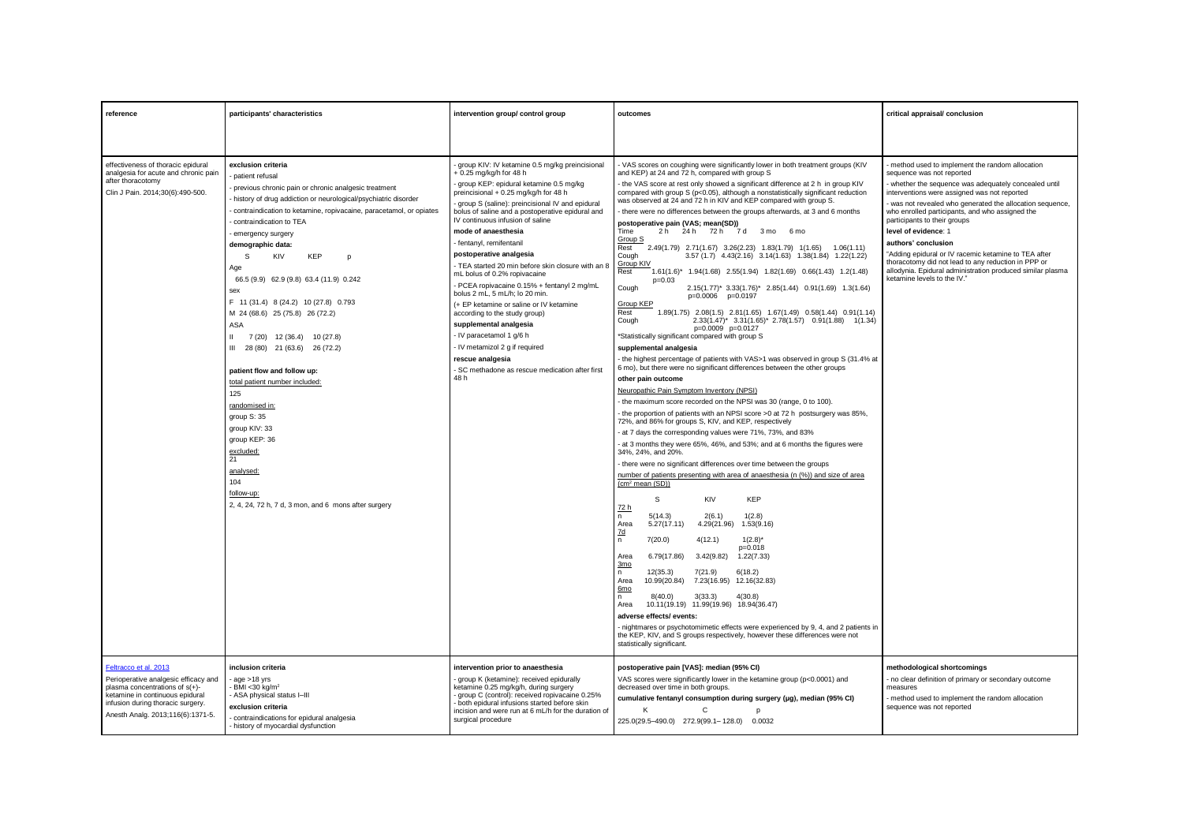| reference                                                                                                                                                                                                       | participants' characteristics                                                                                                                                                                                                                                                                                                                                                                                                                                                                                                                                                                                                                                                                                                                                                                                        | intervention group/ control group                                                                                                                                                                                                                                                                                                                                                                                                                                                                                                                                                                                                                                                                                                                                                                               | outcomes                                                                                                                                                                                                                                                                                                                                                                                                                                                                                                                                                                                                                                                                                                                                                                                                                                                                                                                                                                                                                                                                                                                                                                                                                                                                                                                                                                                                                                                                                                                                                                                                                                                                                                                                                                                                                                                                                                                                                                                                                                                                                                                                                                                                                                                                                                                                                                                                                                                                                                                                                                                                                                                                                           | critical appraisal/ conclusion                                                                                                                                                                                                                                                                                                                                                                                                                                                                                                                                                                  |
|-----------------------------------------------------------------------------------------------------------------------------------------------------------------------------------------------------------------|----------------------------------------------------------------------------------------------------------------------------------------------------------------------------------------------------------------------------------------------------------------------------------------------------------------------------------------------------------------------------------------------------------------------------------------------------------------------------------------------------------------------------------------------------------------------------------------------------------------------------------------------------------------------------------------------------------------------------------------------------------------------------------------------------------------------|-----------------------------------------------------------------------------------------------------------------------------------------------------------------------------------------------------------------------------------------------------------------------------------------------------------------------------------------------------------------------------------------------------------------------------------------------------------------------------------------------------------------------------------------------------------------------------------------------------------------------------------------------------------------------------------------------------------------------------------------------------------------------------------------------------------------|----------------------------------------------------------------------------------------------------------------------------------------------------------------------------------------------------------------------------------------------------------------------------------------------------------------------------------------------------------------------------------------------------------------------------------------------------------------------------------------------------------------------------------------------------------------------------------------------------------------------------------------------------------------------------------------------------------------------------------------------------------------------------------------------------------------------------------------------------------------------------------------------------------------------------------------------------------------------------------------------------------------------------------------------------------------------------------------------------------------------------------------------------------------------------------------------------------------------------------------------------------------------------------------------------------------------------------------------------------------------------------------------------------------------------------------------------------------------------------------------------------------------------------------------------------------------------------------------------------------------------------------------------------------------------------------------------------------------------------------------------------------------------------------------------------------------------------------------------------------------------------------------------------------------------------------------------------------------------------------------------------------------------------------------------------------------------------------------------------------------------------------------------------------------------------------------------------------------------------------------------------------------------------------------------------------------------------------------------------------------------------------------------------------------------------------------------------------------------------------------------------------------------------------------------------------------------------------------------------------------------------------------------------------------------------------------------|-------------------------------------------------------------------------------------------------------------------------------------------------------------------------------------------------------------------------------------------------------------------------------------------------------------------------------------------------------------------------------------------------------------------------------------------------------------------------------------------------------------------------------------------------------------------------------------------------|
|                                                                                                                                                                                                                 |                                                                                                                                                                                                                                                                                                                                                                                                                                                                                                                                                                                                                                                                                                                                                                                                                      |                                                                                                                                                                                                                                                                                                                                                                                                                                                                                                                                                                                                                                                                                                                                                                                                                 |                                                                                                                                                                                                                                                                                                                                                                                                                                                                                                                                                                                                                                                                                                                                                                                                                                                                                                                                                                                                                                                                                                                                                                                                                                                                                                                                                                                                                                                                                                                                                                                                                                                                                                                                                                                                                                                                                                                                                                                                                                                                                                                                                                                                                                                                                                                                                                                                                                                                                                                                                                                                                                                                                                    |                                                                                                                                                                                                                                                                                                                                                                                                                                                                                                                                                                                                 |
| effectiveness of thoracic epidural<br>analgesia for acute and chronic pain<br>after thoracotomy<br>Clin J Pain. 2014;30(6):490-500.                                                                             | exclusion criteria<br>patient refusal<br>previous chronic pain or chronic analgesic treatment<br>history of drug addiction or neurological/psychiatric disorder<br>contraindication to ketamine, ropivacaine, paracetamol, or opiates<br>contraindication to TEA<br>emergency surgery<br>demographic data:<br>S<br><b>KIV</b><br><b>KEP</b><br>D<br>Age<br>66.5 (9.9) 62.9 (9.8) 63.4 (11.9) 0.242<br>sex<br>F 11 (31.4) 8 (24.2) 10 (27.8) 0.793<br>M 24 (68.6) 25 (75.8) 26 (72.2)<br>ASA<br>7 (20) 12 (36.4) 10 (27.8)<br>III 28 (80) 21 (63.6) 26 (72.2)<br>patient flow and follow up:<br>total patient number included:<br>125<br>randomised in:<br>group S: 35<br>group KIV: 33<br>group KEP: 36<br>excluded:<br>21<br>analysed:<br>104<br>follow-up:<br>2, 4, 24, 72 h, 7 d, 3 mon, and 6 mons after surgery | group KIV: IV ketamine 0.5 mg/kg preincisional<br>+ 0.25 mg/kg/h for 48 h<br>- group KEP: epidural ketamine 0.5 mg/kg<br>preincisional + 0.25 mg/kg/h for 48 h<br>- group S (saline): preincisional IV and epidural<br>bolus of saline and a postoperative epidural and<br>IV continuous infusion of saline<br>mode of anaesthesia<br>fentanyl, remifentanil<br>postoperative analgesia<br>- TEA started 20 min before skin closure with an 8<br>mL bolus of 0.2% ropivacaine<br>PCEA ropivacaine 0.15% + fentanyl 2 mg/mL<br>bolus 2 mL, 5 mL/h; lo 20 min.<br>(+ EP ketamine or saline or IV ketamine<br>according to the study group)<br>supplemental analgesia<br>- IV paracetamol 1 g/6 h<br>- IV metamizol 2 g if required<br>rescue analgesia<br>- SC methadone as rescue medication after first<br>48 h | - VAS scores on coughing were significantly lower in both treatment groups (KIV<br>and KEP) at 24 and 72 h, compared with group S<br>- the VAS score at rest only showed a significant difference at 2 h in group KIV<br>compared with group S (p<0.05), although a nonstatistically significant reduction<br>was observed at 24 and 72 h in KIV and KEP compared with group S.<br>there were no differences between the groups afterwards, at 3 and 6 months<br>postoperative pain (VAS; mean(SD))<br>Time<br>2h 24h 72h 7d<br>3 mo 6 mo<br>Group S<br>Rest<br>2.49(1.79) 2.71(1.67) 3.26(2.23) 1.83(1.79) 1(1.65) 1.06(1.11)<br>3.57 (1.7) 4.43 (2.16) 3.14 (1.63) 1.38 (1.84) 1.22 (1.22)<br>Cough<br>Group KIV<br>1.61(1.6)* 1.94(1.68) 2.55(1.94) 1.82(1.69) 0.66(1.43) 1.2(1.48)<br>Rest<br>$p=0.03$<br>Cough<br>2.15(1.77)* 3.33(1.76)* 2.85(1.44) 0.91(1.69) 1.3(1.64)<br>p=0.0006 p=0.0197<br><b>Group KEP</b><br>1.89(1.75) 2.08(1.5) 2.81(1.65) 1.67(1.49) 0.58(1.44) 0.91(1.14)<br>Rest<br>2.33(1.47)* 3.31(1.65)* 2.78(1.57) 0.91(1.88) 1(1.34)<br>Cough<br>p=0.0009 p=0.0127<br>*Statistically significant compared with group S<br>supplemental analgesia<br>- the highest percentage of patients with VAS>1 was observed in group S (31.4% at<br>6 mo), but there were no significant differences between the other groups<br>other pain outcome<br>Neuropathic Pain Symptom Inventory (NPSI)<br>the maximum score recorded on the NPSI was 30 (range, 0 to 100).<br>the proportion of patients with an NPSI score >0 at 72 h postsurgery was 85%.<br>72%, and 86% for groups S, KIV, and KEP, respectively<br>- at 7 days the corresponding values were 71%, 73%, and 83%<br>- at 3 months they were 65%, 46%, and 53%; and at 6 months the figures were<br>34%, 24%, and 20%.<br>- there were no significant differences over time between the groups<br>number of patients presenting with area of anaesthesia (n (%)) and size of area<br>(cm <sup>2</sup> mean (SD))<br><b>KEP</b><br>s<br><b>KIV</b><br>72 h<br>5(14.3)<br>2(6.1)<br>1(2.8)<br>n.<br>5.27(17.11)<br>4.29(21.96)<br>Area<br>1.53(9.16)<br>7d<br>$\mathsf n$<br>7(20.0)<br>4(12.1)<br>$1(2.8)^*$<br>$p=0.018$<br>6.79(17.86)<br>3.42(9.82)<br>1.22(7.33)<br>Area<br>3 <sub>mo</sub><br>6(18.2)<br>12(35.3)<br>7(21.9)<br>n.<br>10.99(20.84)<br>7.23(16.95) 12.16(32.83)<br>Area<br>6mo<br>8(40.0)<br>3(33.3)<br>4(30.8)<br>n<br>Area<br>10.11(19.19) 11.99(19.96) 18.94(36.47)<br>adverse effects/ events:<br>- nightmares or psychotomimetic effects were experienced by 9, 4, and 2 patients in<br>the KEP, KIV, and S groups respectively, however these differences were not<br>statistically significant. | - method used to implement the random allocation<br>sequence was not reported<br>whether the sequence was adequately concealed until<br>interventions were assigned was not reported<br>- was not revealed who generated the allocation sequence,<br>who enrolled participants, and who assigned the<br>participants to their groups<br>level of evidence: 1<br>authors' conclusion<br>"Adding epidural or IV racemic ketamine to TEA after<br>thoracotomy did not lead to any reduction in PPP or<br>allodynia. Epidural administration produced similar plasma<br>ketamine levels to the IV." |
| Feltracco et al. 2013<br>Perioperative analgesic efficacy and<br>plasma concentrations of $s(+)$ -<br>ketamine in continuous epidural<br>infusion during thoracic surgery.<br>Anesth Analg. 2013;116(6):1371-5. | inclusion criteria<br>$rac{1}{2}$ age $>18$ vrs<br>BMI <30 ka/m <sup>2</sup><br>ASA physical status I-III<br>exclusion criteria<br>contraindications for epidural analgesia<br>history of myocardial dysfunction                                                                                                                                                                                                                                                                                                                                                                                                                                                                                                                                                                                                     | intervention prior to anaesthesia<br>group K (ketamine): received epidurally<br>ketamine 0.25 mg/kg/h, during surgery<br>group C (control): received ropivacaine 0.25%<br>both epidural infusions started before skin<br>incision and were run at 6 mL/h for the duration of<br>surgical procedure                                                                                                                                                                                                                                                                                                                                                                                                                                                                                                              | postoperative pain [VAS]: median (95% CI)<br>VAS scores were significantly lower in the ketamine group (p<0.0001) and<br>decreased over time in both groups.<br>cumulative fentanyl consumption during surgery (µg), median (95% CI)<br>K<br>$\mathsf{C}$<br>225.0(29.5-490.0) 272.9(99.1-128.0) 0.0032                                                                                                                                                                                                                                                                                                                                                                                                                                                                                                                                                                                                                                                                                                                                                                                                                                                                                                                                                                                                                                                                                                                                                                                                                                                                                                                                                                                                                                                                                                                                                                                                                                                                                                                                                                                                                                                                                                                                                                                                                                                                                                                                                                                                                                                                                                                                                                                            | methodological shortcomings<br>- no clear definition of primary or secondary outcome<br>measures<br>method used to implement the random allocation<br>sequence was not reported                                                                                                                                                                                                                                                                                                                                                                                                                 |